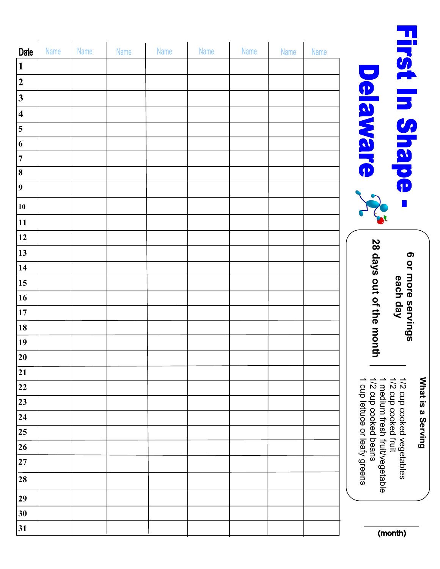|                         |      |      |      |      |      |      |      |      | $\blacksquare$                                                                                                                             |
|-------------------------|------|------|------|------|------|------|------|------|--------------------------------------------------------------------------------------------------------------------------------------------|
| <b>Date</b>             | Name | Name | Name | Name | Name | Name | Name | Name |                                                                                                                                            |
| $\mathbf{1}$            |      |      |      |      |      |      |      |      | rst In Shape<br>$\blacksquare$                                                                                                             |
| $\overline{2}$          |      |      |      |      |      |      |      |      |                                                                                                                                            |
| $\mathbf{3}$            |      |      |      |      |      |      |      |      | elaware                                                                                                                                    |
| $\overline{\mathbf{4}}$ |      |      |      |      |      |      |      |      |                                                                                                                                            |
| 5                       |      |      |      |      |      |      |      |      |                                                                                                                                            |
| $\boldsymbol{6}$        |      |      |      |      |      |      |      |      |                                                                                                                                            |
| $\overline{7}$          |      |      |      |      |      |      |      |      |                                                                                                                                            |
| $\bf{8}$                |      |      |      |      |      |      |      |      |                                                                                                                                            |
| 9                       |      |      |      |      |      |      |      |      |                                                                                                                                            |
| 10                      |      |      |      |      |      |      |      |      |                                                                                                                                            |
| 11                      |      |      |      |      |      |      |      |      |                                                                                                                                            |
| 12                      |      |      |      |      |      |      |      |      |                                                                                                                                            |
| 13                      |      |      |      |      |      |      |      |      | 28 days out of the mont<br>6 or more servings<br>each day                                                                                  |
| 14                      |      |      |      |      |      |      |      |      |                                                                                                                                            |
| 15                      |      |      |      |      |      |      |      |      |                                                                                                                                            |
| 16                      |      |      |      |      |      |      |      |      |                                                                                                                                            |
| 17                      |      |      |      |      |      |      |      |      |                                                                                                                                            |
| 18                      |      |      |      |      |      |      |      |      |                                                                                                                                            |
| 19                      |      |      |      |      |      |      |      |      |                                                                                                                                            |
| 20                      |      |      |      |      |      |      |      |      | 5                                                                                                                                          |
| 21                      |      |      |      |      |      |      |      |      |                                                                                                                                            |
| 22                      |      |      |      |      |      |      |      |      | 1/2 cup cooked fruit<br>1/2 cup cooked vegetables<br>1/2 cup cooked beans<br>1 medium fresh fruit/vegetable<br>cup lettuce or leafy greens |
| 23                      |      |      |      |      |      |      |      |      |                                                                                                                                            |
| 24                      |      |      |      |      |      |      |      |      |                                                                                                                                            |
| 25                      |      |      |      |      |      |      |      |      |                                                                                                                                            |
| 26                      |      |      |      |      |      |      |      |      |                                                                                                                                            |
| $\bf 27$                |      |      |      |      |      |      |      |      |                                                                                                                                            |
| 28                      |      |      |      |      |      |      |      |      |                                                                                                                                            |
| 29                      |      |      |      |      |      |      |      |      |                                                                                                                                            |
| 30                      |      |      |      |      |      |      |      |      |                                                                                                                                            |
| 31                      |      |      |      |      |      |      |      |      | (month)                                                                                                                                    |

**What is a Serving**

What is a Serving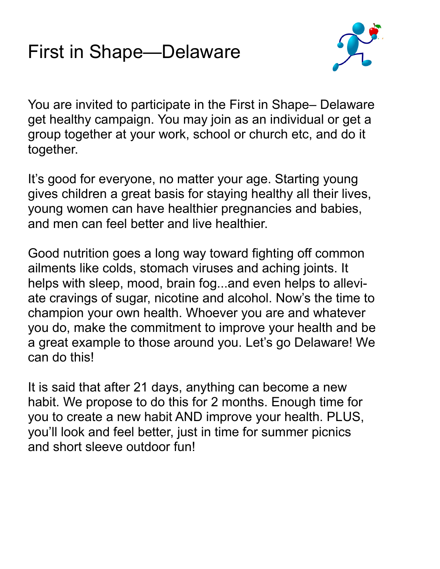## First in Shape—Delaware



You are invited to participate in the First in Shape– Delaware get healthy campaign. You may join as an individual or get a group together at your work, school or church etc, and do it together.

It's good for everyone, no matter your age. Starting young gives children a great basis for staying healthy all their lives, young women can have healthier pregnancies and babies, and men can feel better and live healthier.

Good nutrition goes a long way toward fighting off common ailments like colds, stomach viruses and aching joints. It helps with sleep, mood, brain fog...and even helps to alleviate cravings of sugar, nicotine and alcohol. Now's the time to champion your own health. Whoever you are and whatever you do, make the commitment to improve your health and be a great example to those around you. Let's go Delaware! We can do this!

It is said that after 21 days, anything can become a new habit. We propose to do this for 2 months. Enough time for you to create a new habit AND improve your health. PLUS, you'll look and feel better, just in time for summer picnics and short sleeve outdoor fun!